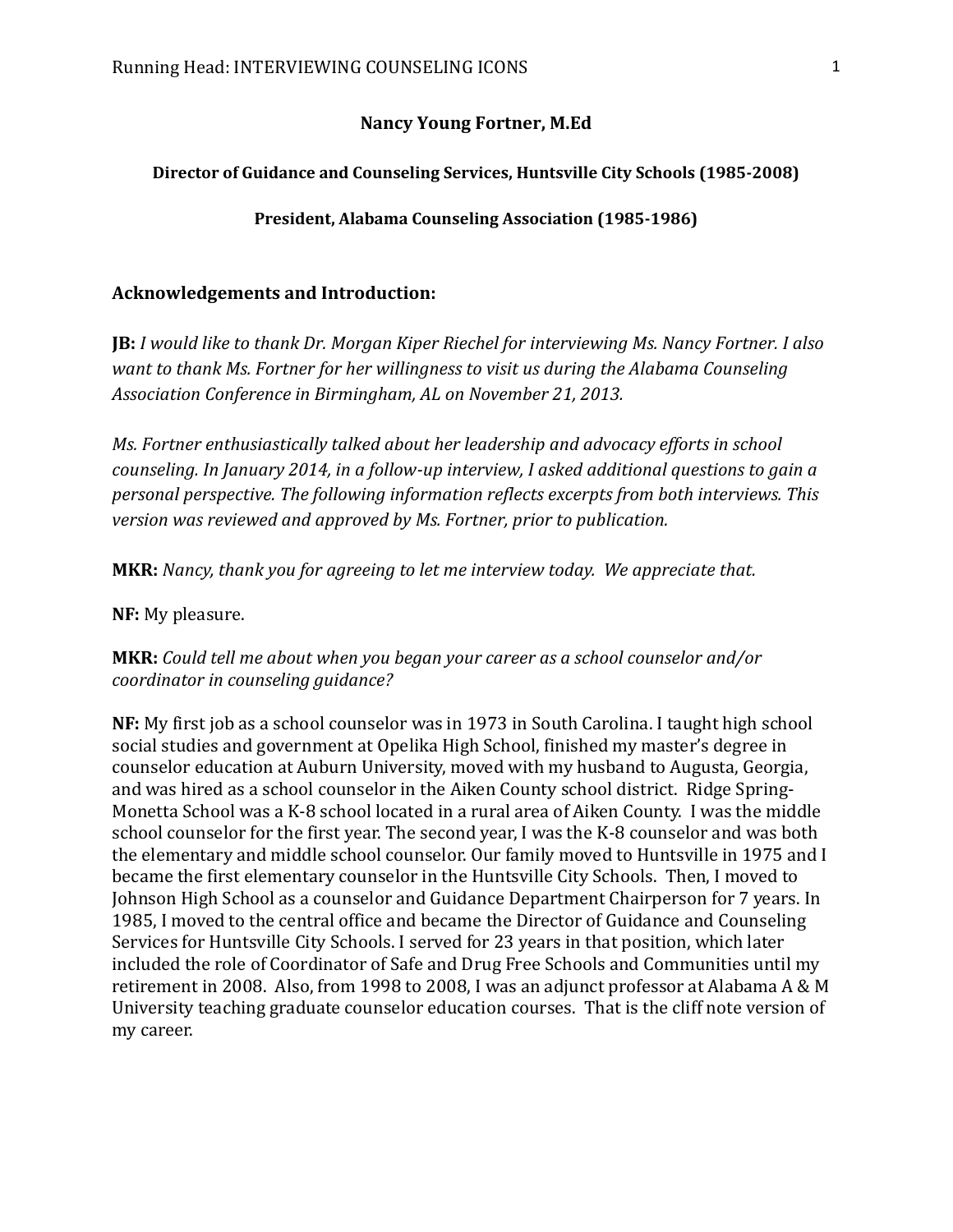#### **Nancy Young Fortner, M.Ed**

#### **Director of Guidance and Counseling Services, Huntsville City Schools (1985-2008)**

**President, Alabama Counseling Association (1985-1986)**

### **Acknowledgements and Introduction:**

**JB:** *I would like to thank Dr. Morgan Kiper Riechel for interviewing Ms. Nancy Fortner. I also want to thank Ms. Fortner for her willingness to visit us during the Alabama Counseling Association Conference in Birmingham, AL on November 21, 2013.* 

*Ms. Fortner enthusiastically talked about her leadership and advocacy efforts in school counseling. In January 2014, in a follow-up interview, I asked additional questions to gain a personal perspective. The following information reflects excerpts from both interviews. This version was reviewed and approved by Ms. Fortner, prior to publication.*

**MKR:** *Nancy, thank you for agreeing to let me interview today. We appreciate that.*

**NF:** My pleasure.

# **MKR:** *Could tell me about when you began your career as a school counselor and/or coordinator in counseling guidance?*

**NF:** My first job as a school counselor was in 1973 in South Carolina. I taught high school social studies and government at Opelika High School, finished my master's degree in counselor education at Auburn University, moved with my husband to Augusta, Georgia, and was hired as a school counselor in the Aiken County school district. Ridge Spring-Monetta School was a K-8 school located in a rural area of Aiken County. I was the middle school counselor for the first year. The second year, I was the K-8 counselor and was both the elementary and middle school counselor. Our family moved to Huntsville in 1975 and I became the first elementary counselor in the Huntsville City Schools. Then, I moved to Johnson High School as a counselor and Guidance Department Chairperson for 7 years. In 1985, I moved to the central office and became the Director of Guidance and Counseling Services for Huntsville City Schools. I served for 23 years in that position, which later included the role of Coordinator of Safe and Drug Free Schools and Communities until my retirement in 2008. Also, from 1998 to 2008, I was an adjunct professor at Alabama A & M University teaching graduate counselor education courses. That is the cliff note version of my career.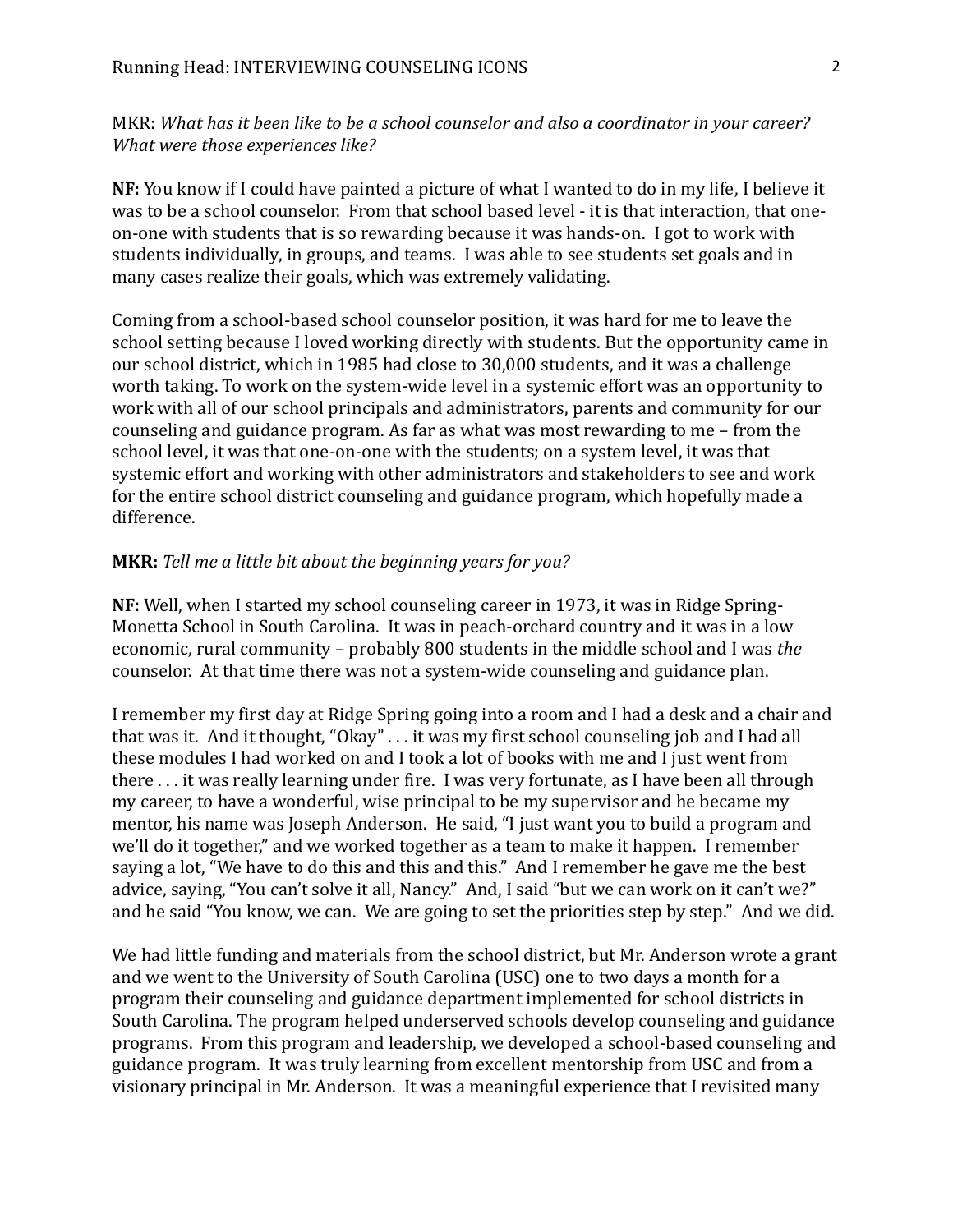MKR: *What has it been like to be a school counselor and also a coordinator in your career? What were those experiences like?*

**NF:** You know if I could have painted a picture of what I wanted to do in my life, I believe it was to be a school counselor. From that school based level - it is that interaction, that oneon-one with students that is so rewarding because it was hands-on. I got to work with students individually, in groups, and teams. I was able to see students set goals and in many cases realize their goals, which was extremely validating.

Coming from a school-based school counselor position, it was hard for me to leave the school setting because I loved working directly with students. But the opportunity came in our school district, which in 1985 had close to 30,000 students, and it was a challenge worth taking. To work on the system-wide level in a systemic effort was an opportunity to work with all of our school principals and administrators, parents and community for our counseling and guidance program. As far as what was most rewarding to me – from the school level, it was that one-on-one with the students; on a system level, it was that systemic effort and working with other administrators and stakeholders to see and work for the entire school district counseling and guidance program, which hopefully made a difference.

#### **MKR:** *Tell me a little bit about the beginning years for you?*

**NF:** Well, when I started my school counseling career in 1973, it was in Ridge Spring-Monetta School in South Carolina. It was in peach-orchard country and it was in a low economic, rural community – probably 800 students in the middle school and I was *the* counselor. At that time there was not a system-wide counseling and guidance plan.

I remember my first day at Ridge Spring going into a room and I had a desk and a chair and that was it. And it thought, "Okay" . . . it was my first school counseling job and I had all these modules I had worked on and I took a lot of books with me and I just went from there . . . it was really learning under fire. I was very fortunate, as I have been all through my career, to have a wonderful, wise principal to be my supervisor and he became my mentor, his name was Joseph Anderson. He said, "I just want you to build a program and we'll do it together," and we worked together as a team to make it happen. I remember saying a lot, "We have to do this and this and this." And I remember he gave me the best advice, saying, "You can't solve it all, Nancy." And, I said "but we can work on it can't we?" and he said "You know, we can. We are going to set the priorities step by step." And we did.

We had little funding and materials from the school district, but Mr. Anderson wrote a grant and we went to the University of South Carolina (USC) one to two days a month for a program their counseling and guidance department implemented for school districts in South Carolina. The program helped underserved schools develop counseling and guidance programs. From this program and leadership, we developed a school-based counseling and guidance program. It was truly learning from excellent mentorship from USC and from a visionary principal in Mr. Anderson. It was a meaningful experience that I revisited many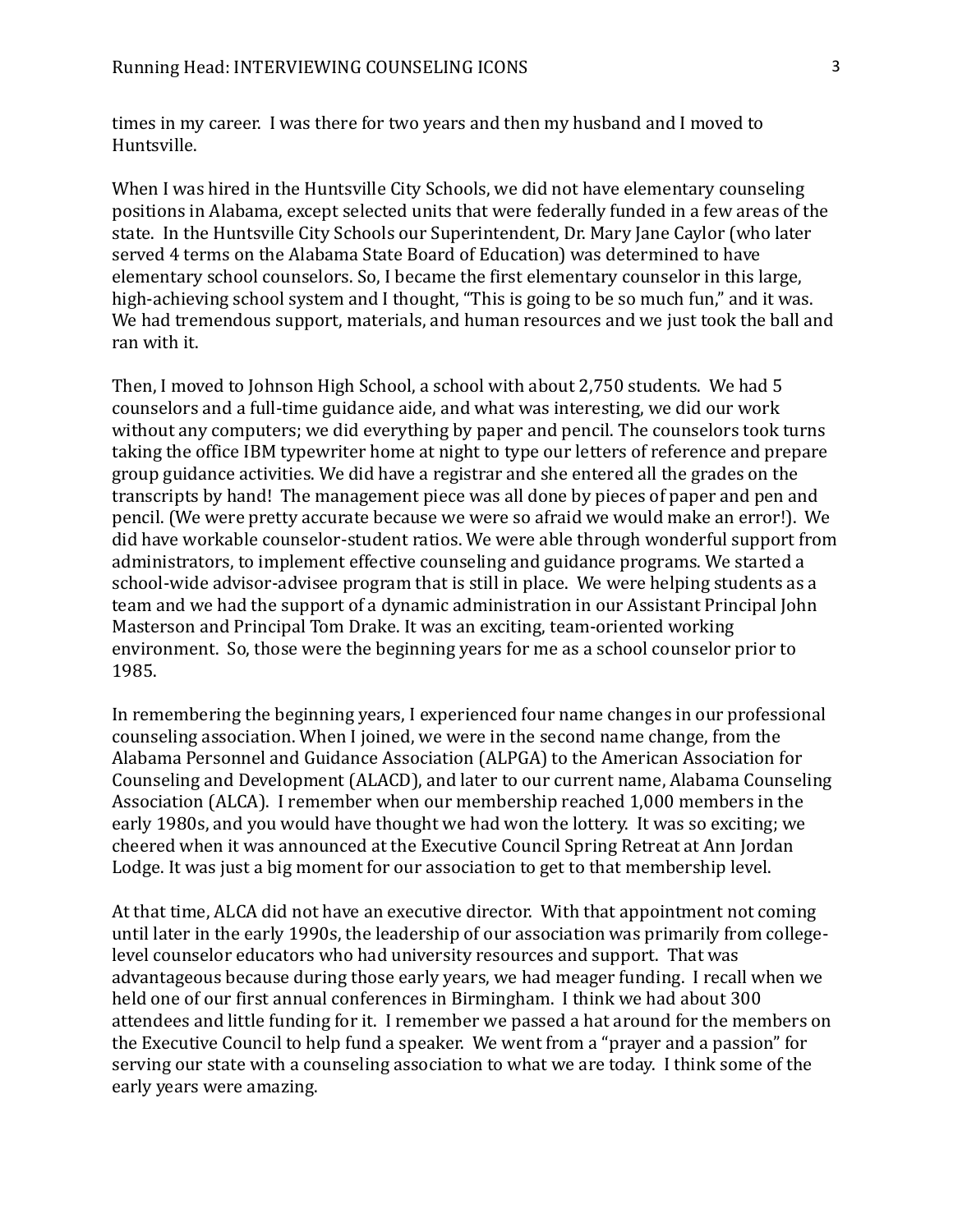times in my career. I was there for two years and then my husband and I moved to Huntsville.

When I was hired in the Huntsville City Schools, we did not have elementary counseling positions in Alabama, except selected units that were federally funded in a few areas of the state. In the Huntsville City Schools our Superintendent, Dr. Mary Jane Caylor (who later served 4 terms on the Alabama State Board of Education) was determined to have elementary school counselors. So, I became the first elementary counselor in this large, high-achieving school system and I thought, "This is going to be so much fun," and it was. We had tremendous support, materials, and human resources and we just took the ball and ran with it.

Then, I moved to Johnson High School, a school with about 2,750 students. We had 5 counselors and a full-time guidance aide, and what was interesting, we did our work without any computers; we did everything by paper and pencil. The counselors took turns taking the office IBM typewriter home at night to type our letters of reference and prepare group guidance activities. We did have a registrar and she entered all the grades on the transcripts by hand! The management piece was all done by pieces of paper and pen and pencil. (We were pretty accurate because we were so afraid we would make an error!). We did have workable counselor-student ratios. We were able through wonderful support from administrators, to implement effective counseling and guidance programs. We started a school-wide advisor-advisee program that is still in place. We were helping students as a team and we had the support of a dynamic administration in our Assistant Principal John Masterson and Principal Tom Drake. It was an exciting, team-oriented working environment. So, those were the beginning years for me as a school counselor prior to 1985.

In remembering the beginning years, I experienced four name changes in our professional counseling association. When I joined, we were in the second name change, from the Alabama Personnel and Guidance Association (ALPGA) to the American Association for Counseling and Development (ALACD), and later to our current name, Alabama Counseling Association (ALCA). I remember when our membership reached 1,000 members in the early 1980s, and you would have thought we had won the lottery. It was so exciting; we cheered when it was announced at the Executive Council Spring Retreat at Ann Jordan Lodge. It was just a big moment for our association to get to that membership level.

At that time, ALCA did not have an executive director. With that appointment not coming until later in the early 1990s, the leadership of our association was primarily from collegelevel counselor educators who had university resources and support. That was advantageous because during those early years, we had meager funding. I recall when we held one of our first annual conferences in Birmingham. I think we had about 300 attendees and little funding for it. I remember we passed a hat around for the members on the Executive Council to help fund a speaker. We went from a "prayer and a passion" for serving our state with a counseling association to what we are today. I think some of the early years were amazing.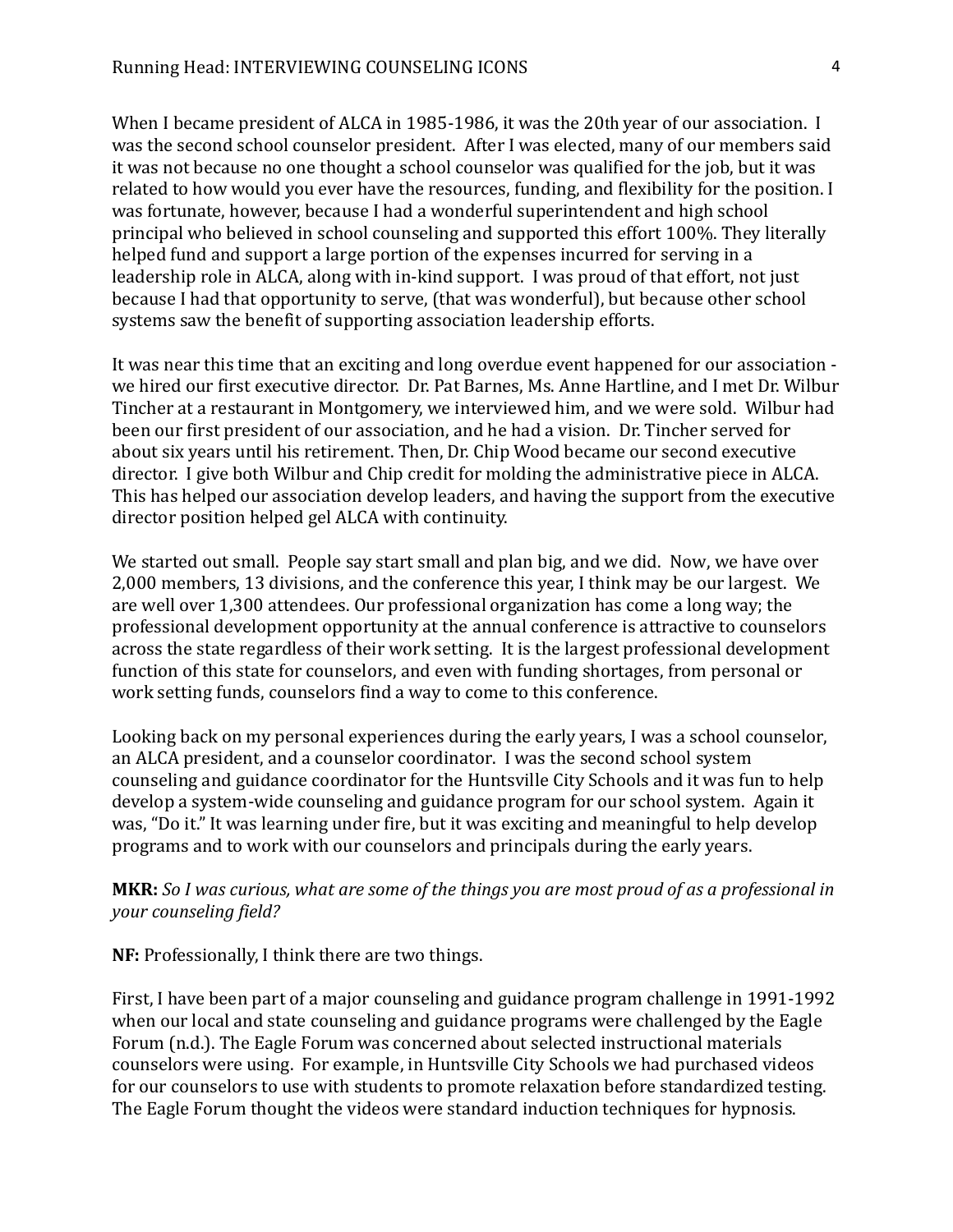When I became president of ALCA in 1985-1986, it was the 20th year of our association. I was the second school counselor president. After I was elected, many of our members said it was not because no one thought a school counselor was qualified for the job, but it was related to how would you ever have the resources, funding, and flexibility for the position. I was fortunate, however, because I had a wonderful superintendent and high school principal who believed in school counseling and supported this effort 100%. They literally helped fund and support a large portion of the expenses incurred for serving in a leadership role in ALCA, along with in-kind support. I was proud of that effort, not just because I had that opportunity to serve, (that was wonderful), but because other school systems saw the benefit of supporting association leadership efforts.

It was near this time that an exciting and long overdue event happened for our association we hired our first executive director. Dr. Pat Barnes, Ms. Anne Hartline, and I met Dr. Wilbur Tincher at a restaurant in Montgomery, we interviewed him, and we were sold. Wilbur had been our first president of our association, and he had a vision. Dr. Tincher served for about six years until his retirement. Then, Dr. Chip Wood became our second executive director. I give both Wilbur and Chip credit for molding the administrative piece in ALCA. This has helped our association develop leaders, and having the support from the executive director position helped gel ALCA with continuity.

We started out small. People say start small and plan big, and we did. Now, we have over 2,000 members, 13 divisions, and the conference this year, I think may be our largest. We are well over 1,300 attendees. Our professional organization has come a long way; the professional development opportunity at the annual conference is attractive to counselors across the state regardless of their work setting. It is the largest professional development function of this state for counselors, and even with funding shortages, from personal or work setting funds, counselors find a way to come to this conference.

Looking back on my personal experiences during the early years, I was a school counselor, an ALCA president, and a counselor coordinator. I was the second school system counseling and guidance coordinator for the Huntsville City Schools and it was fun to help develop a system-wide counseling and guidance program for our school system. Again it was, "Do it." It was learning under fire, but it was exciting and meaningful to help develop programs and to work with our counselors and principals during the early years.

# **MKR:** *So I was curious, what are some of the things you are most proud of as a professional in your counseling field?*

**NF:** Professionally, I think there are two things.

First, I have been part of a major counseling and guidance program challenge in 1991-1992 when our local and state counseling and guidance programs were challenged by the Eagle Forum (n.d.). The Eagle Forum was concerned about selected instructional materials counselors were using. For example, in Huntsville City Schools we had purchased videos for our counselors to use with students to promote relaxation before standardized testing. The Eagle Forum thought the videos were standard induction techniques for hypnosis.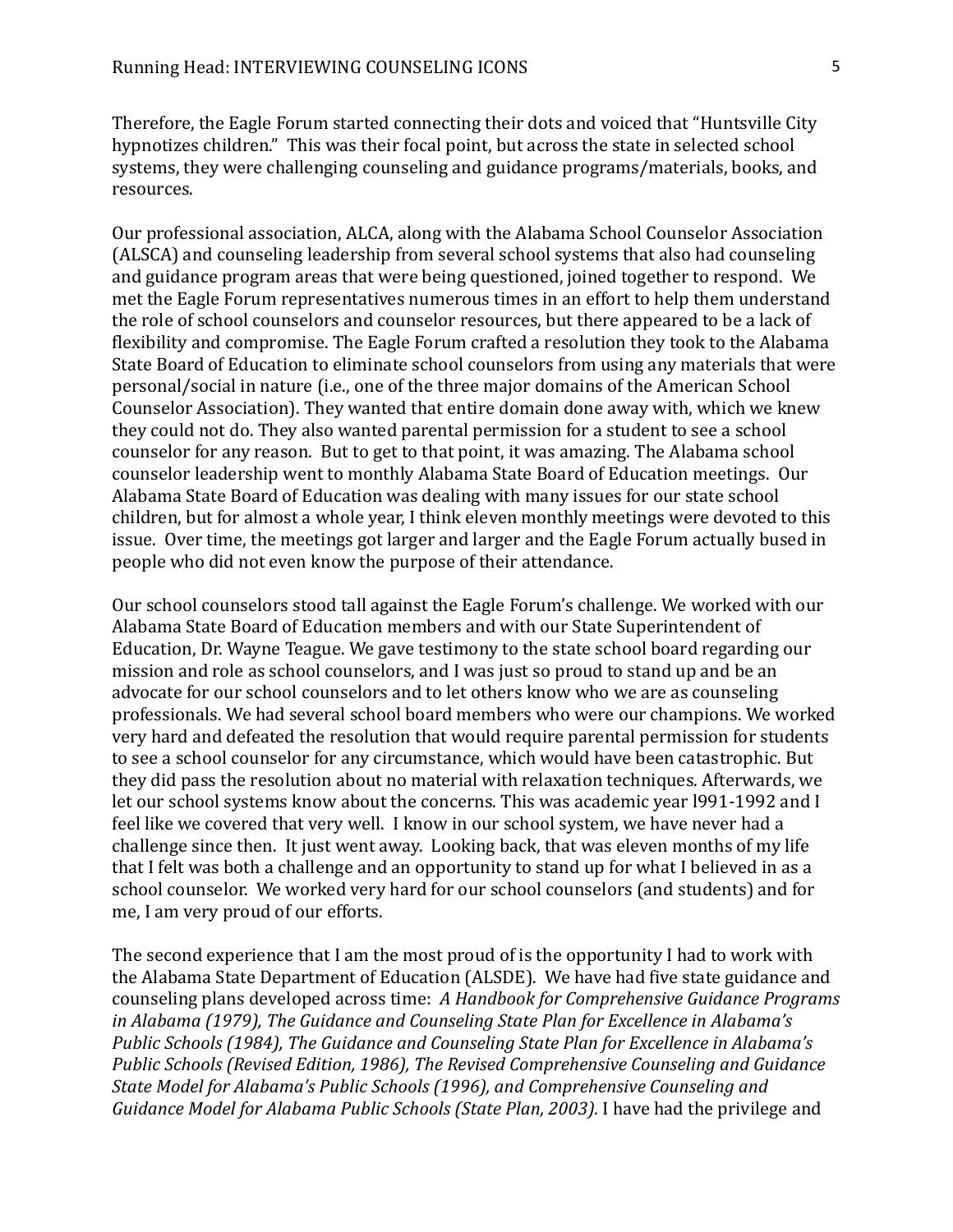Therefore, the Eagle Forum started connecting their dots and voiced that "Huntsville City hypnotizes children." This was their focal point, but across the state in selected school systems, they were challenging counseling and guidance programs/materials, books, and resources.

Our professional association, ALCA, along with the Alabama School Counselor Association (ALSCA) and counseling leadership from several school systems that also had counseling and guidance program areas that were being questioned, joined together to respond. We met the Eagle Forum representatives numerous times in an effort to help them understand the role of school counselors and counselor resources, but there appeared to be a lack of flexibility and compromise. The Eagle Forum crafted a resolution they took to the Alabama State Board of Education to eliminate school counselors from using any materials that were personal/social in nature (i.e., one of the three major domains of the American School Counselor Association). They wanted that entire domain done away with, which we knew they could not do. They also wanted parental permission for a student to see a school counselor for any reason. But to get to that point, it was amazing. The Alabama school counselor leadership went to monthly Alabama State Board of Education meetings. Our Alabama State Board of Education was dealing with many issues for our state school children, but for almost a whole year, I think eleven monthly meetings were devoted to this issue. Over time, the meetings got larger and larger and the Eagle Forum actually bused in people who did not even know the purpose of their attendance.

Our school counselors stood tall against the Eagle Forum's challenge. We worked with our Alabama State Board of Education members and with our State Superintendent of Education, Dr. Wayne Teague. We gave testimony to the state school board regarding our mission and role as school counselors, and I was just so proud to stand up and be an advocate for our school counselors and to let others know who we are as counseling professionals. We had several school board members who were our champions. We worked very hard and defeated the resolution that would require parental permission for students to see a school counselor for any circumstance, which would have been catastrophic. But they did pass the resolution about no material with relaxation techniques. Afterwards, we let our school systems know about the concerns. This was academic year l991-1992 and I feel like we covered that very well. I know in our school system, we have never had a challenge since then. It just went away. Looking back, that was eleven months of my life that I felt was both a challenge and an opportunity to stand up for what I believed in as a school counselor. We worked very hard for our school counselors (and students) and for me, I am very proud of our efforts.

The second experience that I am the most proud of is the opportunity I had to work with the Alabama State Department of Education (ALSDE). We have had five state guidance and counseling plans developed across time: *A Handbook for Comprehensive Guidance Programs in Alabama (1979), The Guidance and Counseling State Plan for Excellence in Alabama's Public Schools (1984), The Guidance and Counseling State Plan for Excellence in Alabama's Public Schools (Revised Edition, 1986), The Revised Comprehensive Counseling and Guidance State Model for Alabama's Public Schools (1996), and Comprehensive Counseling and Guidance Model for Alabama Public Schools (State Plan, 2003).* I have had the privilege and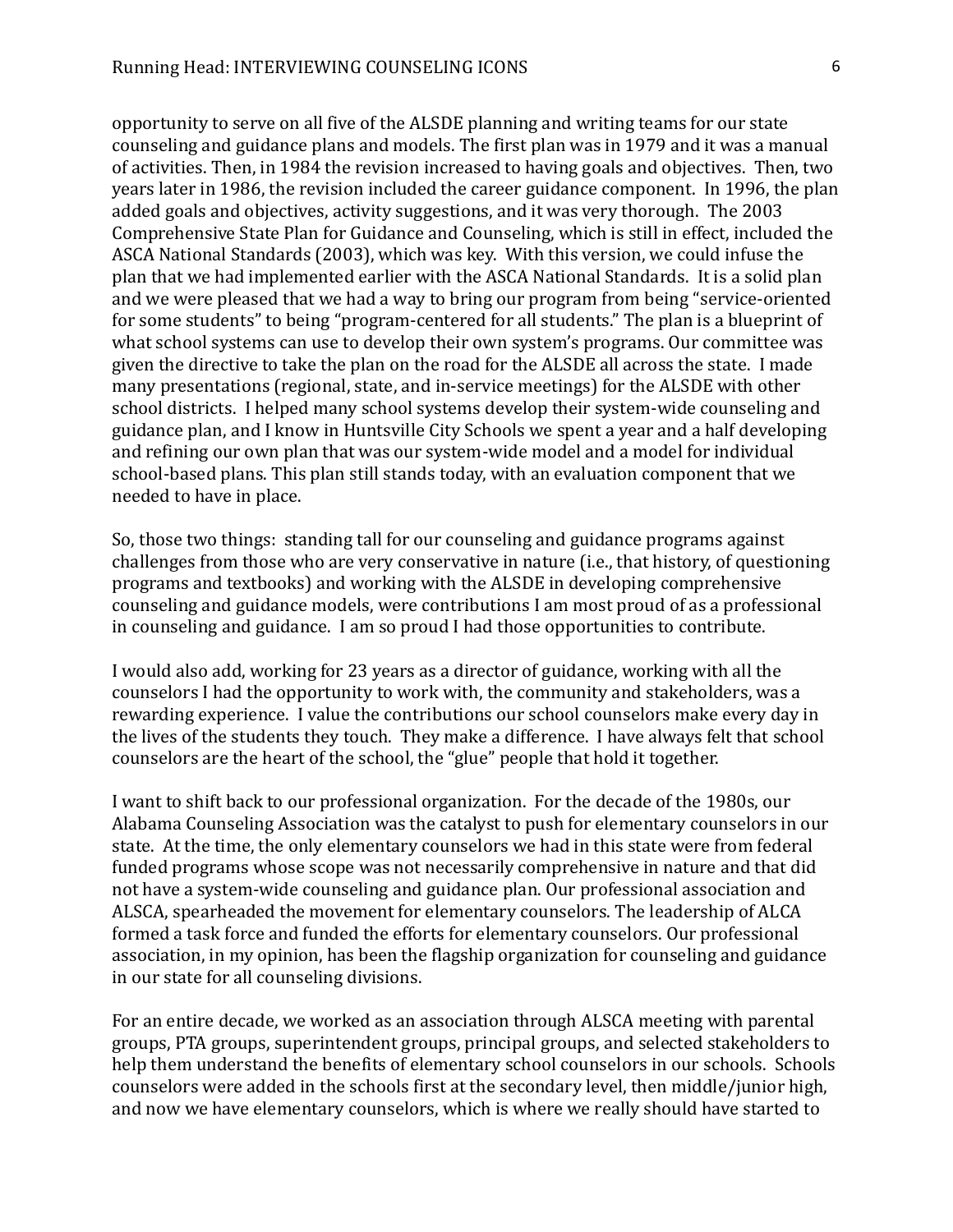opportunity to serve on all five of the ALSDE planning and writing teams for our state counseling and guidance plans and models. The first plan was in 1979 and it was a manual of activities. Then, in 1984 the revision increased to having goals and objectives. Then, two years later in 1986, the revision included the career guidance component. In 1996, the plan added goals and objectives, activity suggestions, and it was very thorough. The 2003 Comprehensive State Plan for Guidance and Counseling, which is still in effect, included the ASCA National Standards (2003), which was key. With this version, we could infuse the plan that we had implemented earlier with the ASCA National Standards. It is a solid plan and we were pleased that we had a way to bring our program from being "service-oriented for some students" to being "program-centered for all students." The plan is a blueprint of what school systems can use to develop their own system's programs. Our committee was given the directive to take the plan on the road for the ALSDE all across the state. I made many presentations (regional, state, and in-service meetings) for the ALSDE with other school districts. I helped many school systems develop their system-wide counseling and guidance plan, and I know in Huntsville City Schools we spent a year and a half developing and refining our own plan that was our system-wide model and a model for individual school-based plans. This plan still stands today, with an evaluation component that we needed to have in place.

So, those two things: standing tall for our counseling and guidance programs against challenges from those who are very conservative in nature (i.e., that history, of questioning programs and textbooks) and working with the ALSDE in developing comprehensive counseling and guidance models, were contributions I am most proud of as a professional in counseling and guidance. I am so proud I had those opportunities to contribute.

I would also add, working for 23 years as a director of guidance, working with all the counselors I had the opportunity to work with, the community and stakeholders, was a rewarding experience. I value the contributions our school counselors make every day in the lives of the students they touch. They make a difference. I have always felt that school counselors are the heart of the school, the "glue" people that hold it together.

I want to shift back to our professional organization. For the decade of the 1980s, our Alabama Counseling Association was the catalyst to push for elementary counselors in our state. At the time, the only elementary counselors we had in this state were from federal funded programs whose scope was not necessarily comprehensive in nature and that did not have a system-wide counseling and guidance plan. Our professional association and ALSCA, spearheaded the movement for elementary counselors. The leadership of ALCA formed a task force and funded the efforts for elementary counselors. Our professional association, in my opinion, has been the flagship organization for counseling and guidance in our state for all counseling divisions.

For an entire decade, we worked as an association through ALSCA meeting with parental groups, PTA groups, superintendent groups, principal groups, and selected stakeholders to help them understand the benefits of elementary school counselors in our schools. Schools counselors were added in the schools first at the secondary level, then middle/junior high, and now we have elementary counselors, which is where we really should have started to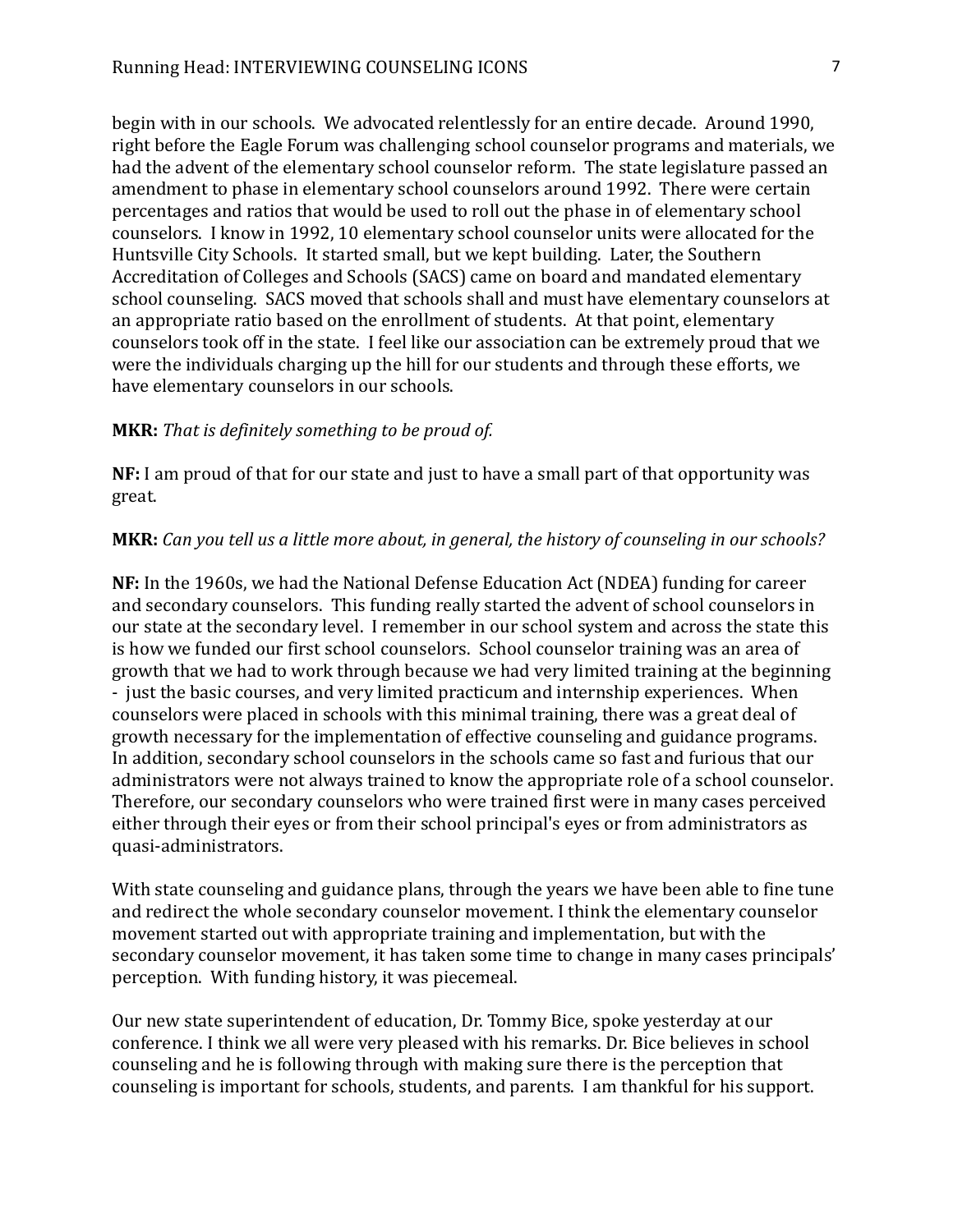begin with in our schools. We advocated relentlessly for an entire decade. Around 1990, right before the Eagle Forum was challenging school counselor programs and materials, we had the advent of the elementary school counselor reform. The state legislature passed an amendment to phase in elementary school counselors around 1992. There were certain percentages and ratios that would be used to roll out the phase in of elementary school counselors. I know in 1992, 10 elementary school counselor units were allocated for the Huntsville City Schools. It started small, but we kept building. Later, the Southern Accreditation of Colleges and Schools (SACS) came on board and mandated elementary school counseling. SACS moved that schools shall and must have elementary counselors at an appropriate ratio based on the enrollment of students. At that point, elementary counselors took off in the state. I feel like our association can be extremely proud that we were the individuals charging up the hill for our students and through these efforts, we have elementary counselors in our schools.

## **MKR:** *That is definitely something to be proud of.*

**NF:** I am proud of that for our state and just to have a small part of that opportunity was great.

### **MKR:** *Can you tell us a little more about, in general, the history of counseling in our schools?*

**NF:** In the 1960s, we had the National Defense Education Act (NDEA) funding for career and secondary counselors. This funding really started the advent of school counselors in our state at the secondary level. I remember in our school system and across the state this is how we funded our first school counselors. School counselor training was an area of growth that we had to work through because we had very limited training at the beginning - just the basic courses, and very limited practicum and internship experiences. When counselors were placed in schools with this minimal training, there was a great deal of growth necessary for the implementation of effective counseling and guidance programs. In addition, secondary school counselors in the schools came so fast and furious that our administrators were not always trained to know the appropriate role of a school counselor. Therefore, our secondary counselors who were trained first were in many cases perceived either through their eyes or from their school principal's eyes or from administrators as quasi-administrators.

With state counseling and guidance plans, through the years we have been able to fine tune and redirect the whole secondary counselor movement. I think the elementary counselor movement started out with appropriate training and implementation, but with the secondary counselor movement, it has taken some time to change in many cases principals' perception. With funding history, it was piecemeal.

Our new state superintendent of education, Dr. Tommy Bice, spoke yesterday at our conference. I think we all were very pleased with his remarks. Dr. Bice believes in school counseling and he is following through with making sure there is the perception that counseling is important for schools, students, and parents. I am thankful for his support.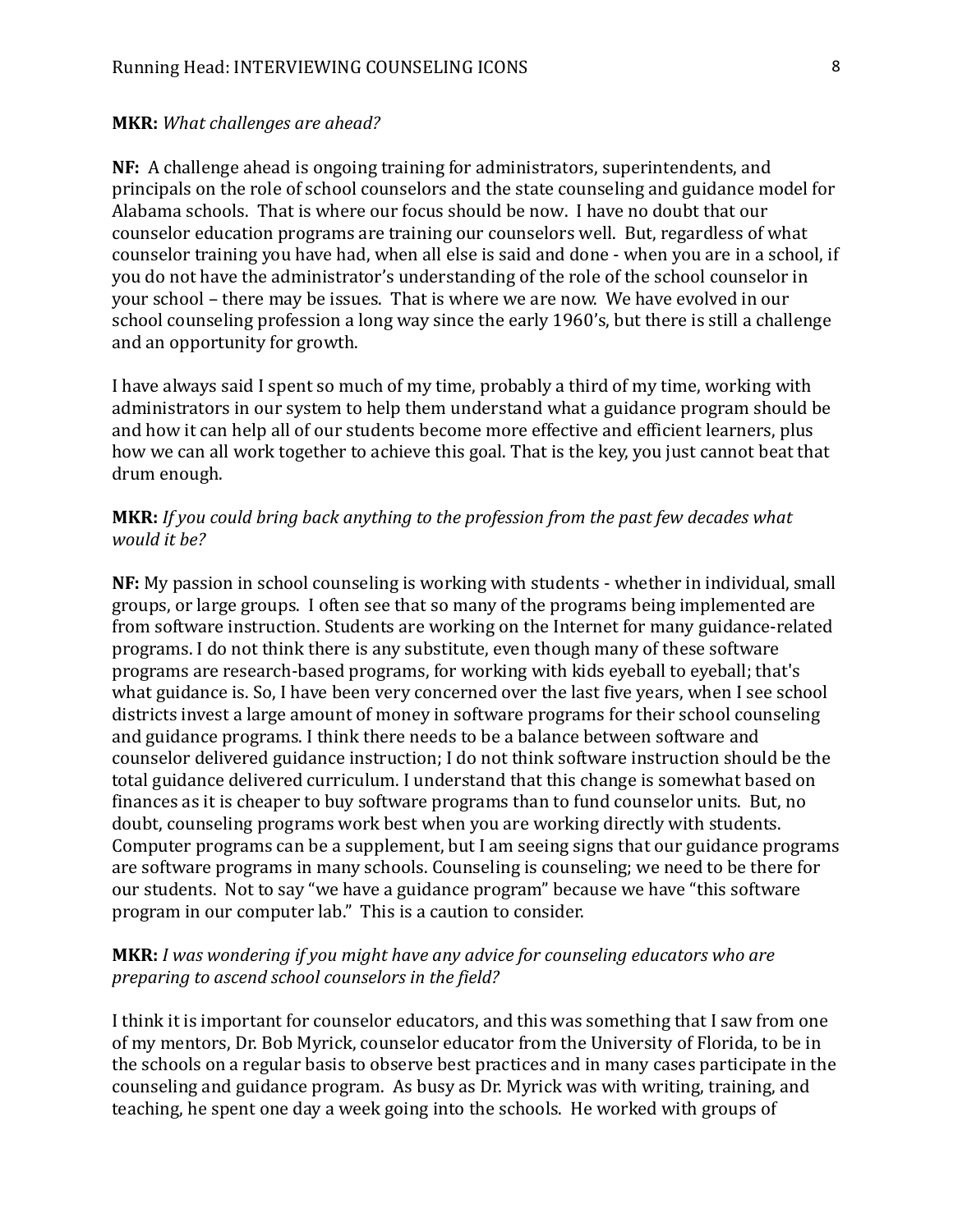#### **MKR:** *What challenges are ahead?*

**NF:** A challenge ahead is ongoing training for administrators, superintendents, and principals on the role of school counselors and the state counseling and guidance model for Alabama schools. That is where our focus should be now. I have no doubt that our counselor education programs are training our counselors well. But, regardless of what counselor training you have had, when all else is said and done - when you are in a school, if you do not have the administrator's understanding of the role of the school counselor in your school – there may be issues. That is where we are now. We have evolved in our school counseling profession a long way since the early 1960's, but there is still a challenge and an opportunity for growth.

I have always said I spent so much of my time, probably a third of my time, working with administrators in our system to help them understand what a guidance program should be and how it can help all of our students become more effective and efficient learners, plus how we can all work together to achieve this goal. That is the key, you just cannot beat that drum enough.

## **MKR:** *If you could bring back anything to the profession from the past few decades what would it be?*

**NF:** My passion in school counseling is working with students - whether in individual, small groups, or large groups. I often see that so many of the programs being implemented are from software instruction. Students are working on the Internet for many guidance-related programs. I do not think there is any substitute, even though many of these software programs are research-based programs, for working with kids eyeball to eyeball; that's what guidance is. So, I have been very concerned over the last five years, when I see school districts invest a large amount of money in software programs for their school counseling and guidance programs. I think there needs to be a balance between software and counselor delivered guidance instruction; I do not think software instruction should be the total guidance delivered curriculum. I understand that this change is somewhat based on finances as it is cheaper to buy software programs than to fund counselor units. But, no doubt, counseling programs work best when you are working directly with students. Computer programs can be a supplement, but I am seeing signs that our guidance programs are software programs in many schools. Counseling is counseling; we need to be there for our students. Not to say "we have a guidance program" because we have "this software program in our computer lab." This is a caution to consider.

### **MKR:** *I was wondering if you might have any advice for counseling educators who are preparing to ascend school counselors in the field?*

I think it is important for counselor educators, and this was something that I saw from one of my mentors, Dr. Bob Myrick, counselor educator from the University of Florida, to be in the schools on a regular basis to observe best practices and in many cases participate in the counseling and guidance program. As busy as Dr. Myrick was with writing, training, and teaching, he spent one day a week going into the schools. He worked with groups of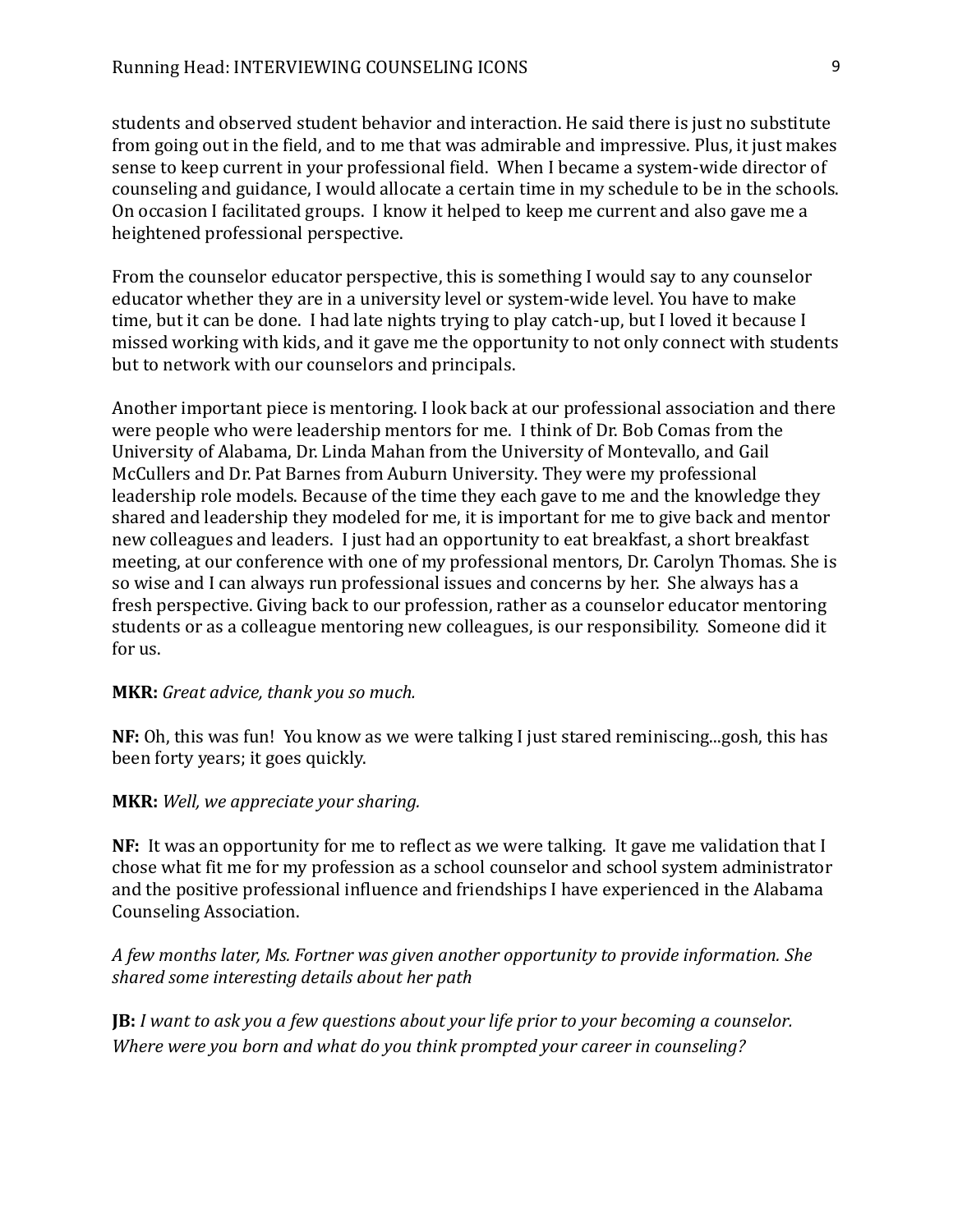students and observed student behavior and interaction. He said there is just no substitute from going out in the field, and to me that was admirable and impressive. Plus, it just makes sense to keep current in your professional field. When I became a system-wide director of counseling and guidance, I would allocate a certain time in my schedule to be in the schools. On occasion I facilitated groups. I know it helped to keep me current and also gave me a heightened professional perspective.

From the counselor educator perspective, this is something I would say to any counselor educator whether they are in a university level or system-wide level. You have to make time, but it can be done. I had late nights trying to play catch-up, but I loved it because I missed working with kids, and it gave me the opportunity to not only connect with students but to network with our counselors and principals.

Another important piece is mentoring. I look back at our professional association and there were people who were leadership mentors for me. I think of Dr. Bob Comas from the University of Alabama, Dr. Linda Mahan from the University of Montevallo, and Gail McCullers and Dr. Pat Barnes from Auburn University. They were my professional leadership role models. Because of the time they each gave to me and the knowledge they shared and leadership they modeled for me, it is important for me to give back and mentor new colleagues and leaders. I just had an opportunity to eat breakfast, a short breakfast meeting, at our conference with one of my professional mentors, Dr. Carolyn Thomas. She is so wise and I can always run professional issues and concerns by her. She always has a fresh perspective. Giving back to our profession, rather as a counselor educator mentoring students or as a colleague mentoring new colleagues, is our responsibility. Someone did it for us.

### **MKR:** *Great advice, thank you so much.*

**NF:** Oh, this was fun! You know as we were talking I just stared reminiscing...gosh, this has been forty years; it goes quickly.

#### **MKR:** *Well, we appreciate your sharing.*

**NF:** It was an opportunity for me to reflect as we were talking. It gave me validation that I chose what fit me for my profession as a school counselor and school system administrator and the positive professional influence and friendships I have experienced in the Alabama Counseling Association.

# *A few months later, Ms. Fortner was given another opportunity to provide information. She shared some interesting details about her path*

**JB:** *I want to ask you a few questions about your life prior to your becoming a counselor. Where were you born and what do you think prompted your career in counseling?*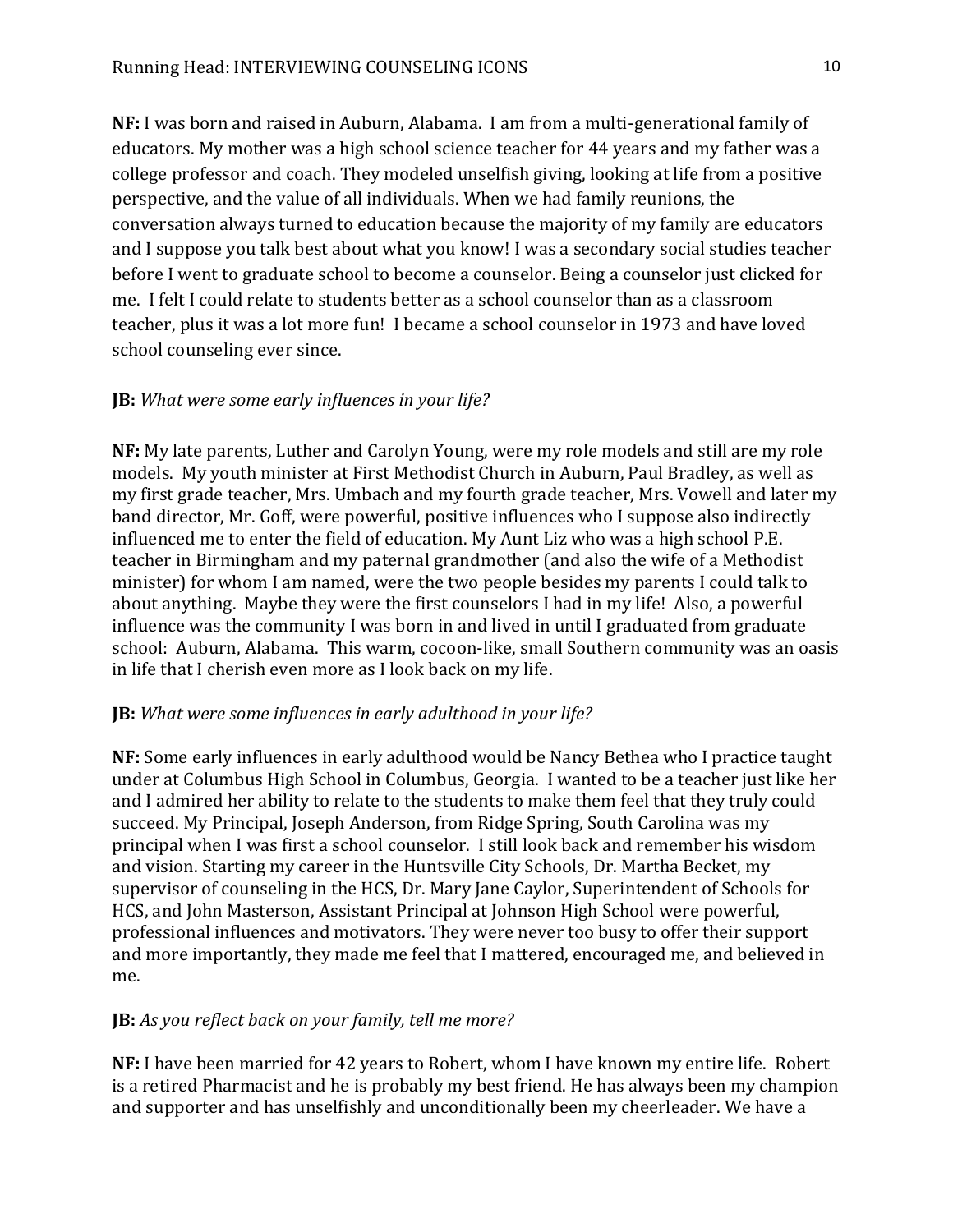**NF:** I was born and raised in Auburn, Alabama. I am from a multi-generational family of educators. My mother was a high school science teacher for 44 years and my father was a college professor and coach. They modeled unselfish giving, looking at life from a positive perspective, and the value of all individuals. When we had family reunions, the conversation always turned to education because the majority of my family are educators and I suppose you talk best about what you know! I was a secondary social studies teacher before I went to graduate school to become a counselor. Being a counselor just clicked for me. I felt I could relate to students better as a school counselor than as a classroom teacher, plus it was a lot more fun! I became a school counselor in 1973 and have loved school counseling ever since.

# **JB:** *What were some early influences in your life?*

**NF:** My late parents, Luther and Carolyn Young, were my role models and still are my role models. My youth minister at First Methodist Church in Auburn, Paul Bradley, as well as my first grade teacher, Mrs. Umbach and my fourth grade teacher, Mrs. Vowell and later my band director, Mr. Goff, were powerful, positive influences who I suppose also indirectly influenced me to enter the field of education. My Aunt Liz who was a high school P.E. teacher in Birmingham and my paternal grandmother (and also the wife of a Methodist minister) for whom I am named, were the two people besides my parents I could talk to about anything. Maybe they were the first counselors I had in my life! Also, a powerful influence was the community I was born in and lived in until I graduated from graduate school: Auburn, Alabama. This warm, cocoon-like, small Southern community was an oasis in life that I cherish even more as I look back on my life.

## **JB:** *What were some influences in early adulthood in your life?*

**NF:** Some early influences in early adulthood would be Nancy Bethea who I practice taught under at Columbus High School in Columbus, Georgia. I wanted to be a teacher just like her and I admired her ability to relate to the students to make them feel that they truly could succeed. My Principal, Joseph Anderson, from Ridge Spring, South Carolina was my principal when I was first a school counselor. I still look back and remember his wisdom and vision. Starting my career in the Huntsville City Schools, Dr. Martha Becket, my supervisor of counseling in the HCS, Dr. Mary Jane Caylor, Superintendent of Schools for HCS, and John Masterson, Assistant Principal at Johnson High School were powerful, professional influences and motivators. They were never too busy to offer their support and more importantly, they made me feel that I mattered, encouraged me, and believed in me.

# **JB:** *As you reflect back on your family, tell me more?*

**NF:** I have been married for 42 years to Robert, whom I have known my entire life. Robert is a retired Pharmacist and he is probably my best friend. He has always been my champion and supporter and has unselfishly and unconditionally been my cheerleader. We have a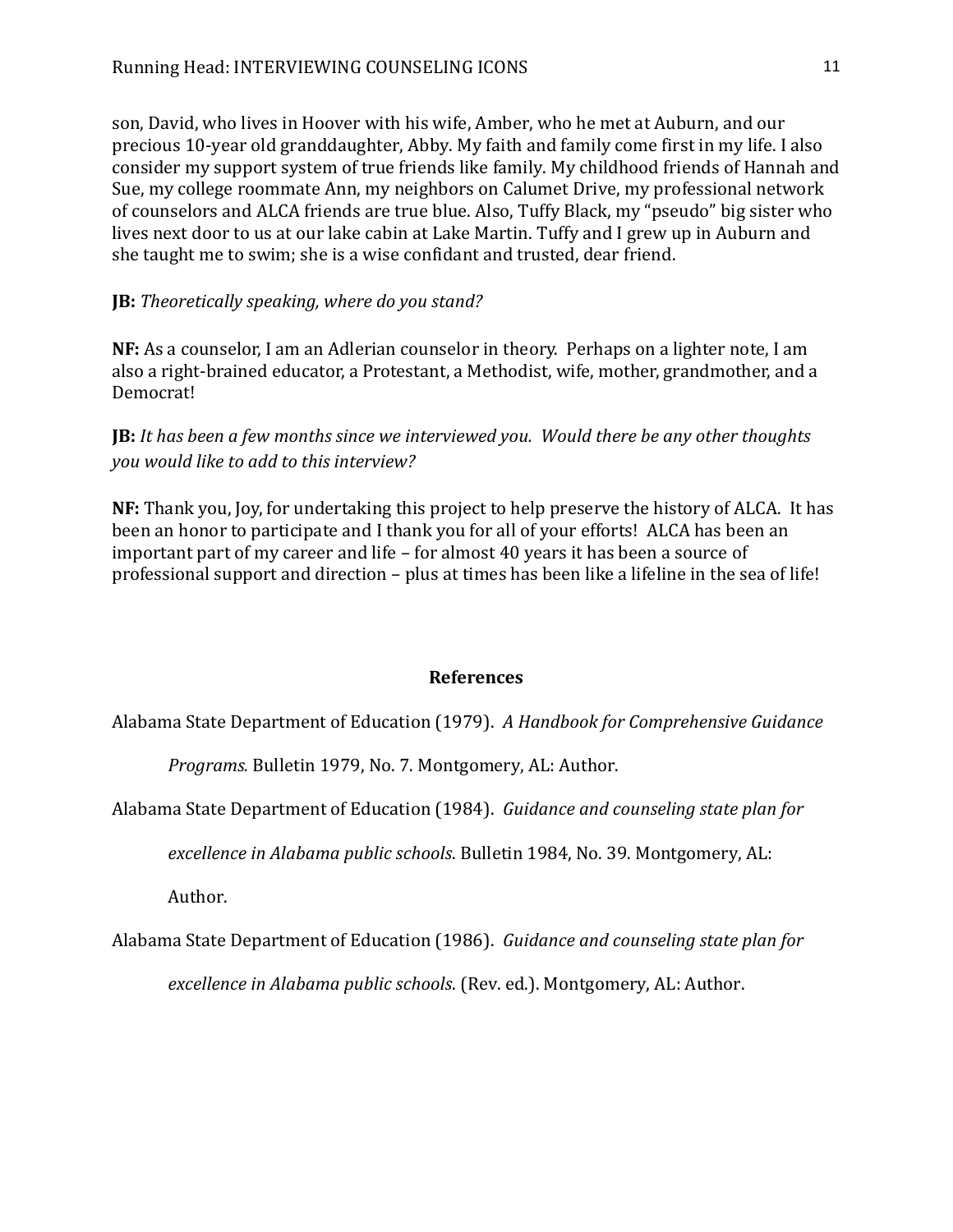son, David, who lives in Hoover with his wife, Amber, who he met at Auburn, and our precious 10-year old granddaughter, Abby. My faith and family come first in my life. I also consider my support system of true friends like family. My childhood friends of Hannah and Sue, my college roommate Ann, my neighbors on Calumet Drive, my professional network of counselors and ALCA friends are true blue. Also, Tuffy Black, my "pseudo" big sister who lives next door to us at our lake cabin at Lake Martin. Tuffy and I grew up in Auburn and she taught me to swim; she is a wise confidant and trusted, dear friend.

# **JB:** *Theoretically speaking, where do you stand?*

**NF:** As a counselor, I am an Adlerian counselor in theory. Perhaps on a lighter note, I am also a right-brained educator, a Protestant, a Methodist, wife, mother, grandmother, and a Democrat!

# **JB:** *It has been a few months since we interviewed you. Would there be any other thoughts you would like to add to this interview?*

**NF:** Thank you, Joy, for undertaking this project to help preserve the history of ALCA. It has been an honor to participate and I thank you for all of your efforts! ALCA has been an important part of my career and life – for almost 40 years it has been a source of professional support and direction – plus at times has been like a lifeline in the sea of life!

#### **References**

Alabama State Department of Education (1979). *A Handbook for Comprehensive Guidance* 

*Programs.* Bulletin 1979, No. 7. Montgomery, AL: Author.

Alabama State Department of Education (1984). *Guidance and counseling state plan for* 

*excellence in Alabama public schools*. Bulletin 1984, No. 39. Montgomery, AL:

Author.

Alabama State Department of Education (1986). *Guidance and counseling state plan for* 

*excellence in Alabama public schools*. (Rev. ed.). Montgomery, AL: Author.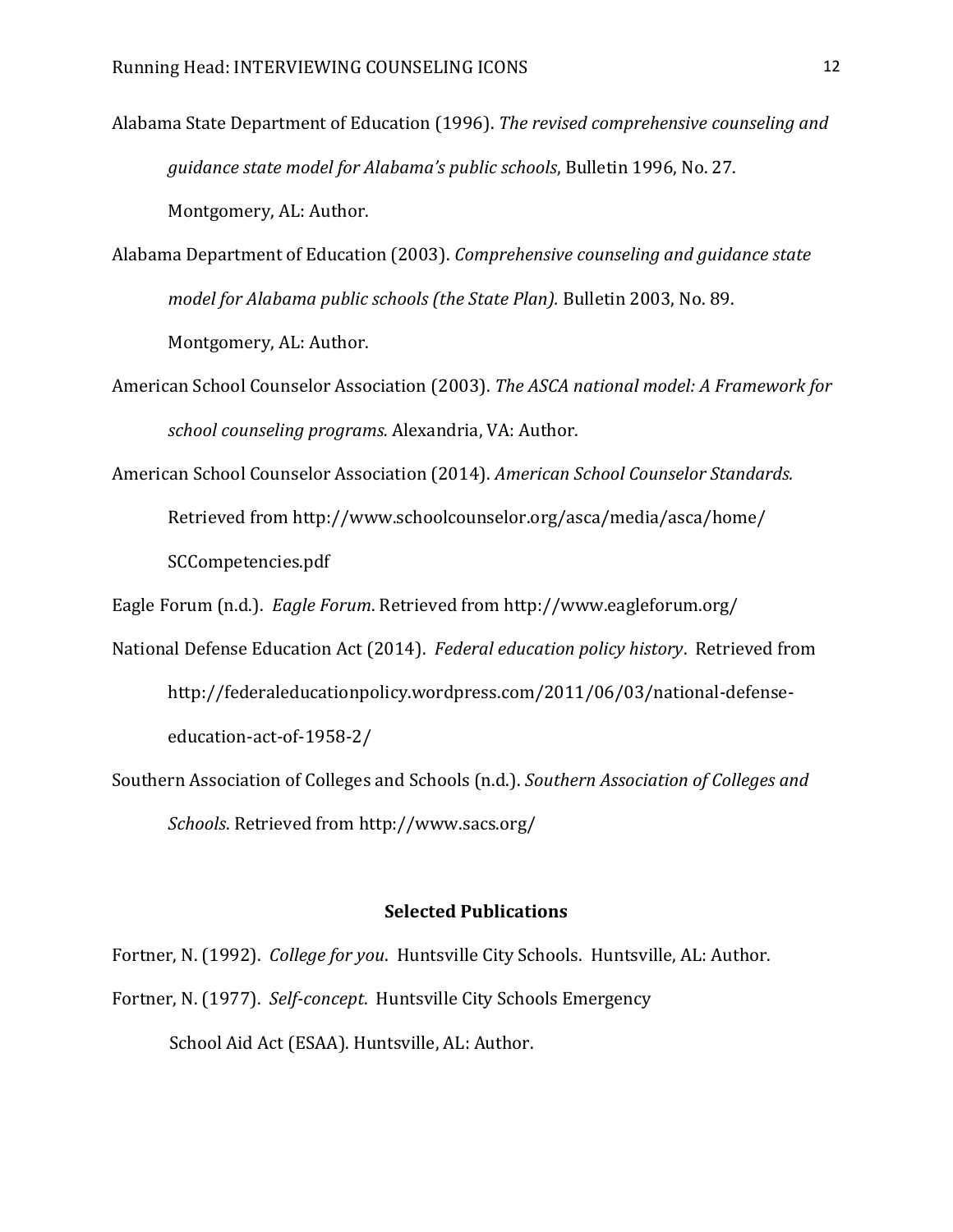Alabama State Department of Education (1996). *The revised comprehensive counseling and guidance state model for Alabama's public schools*, Bulletin 1996, No. 27. Montgomery, AL: Author.

Alabama Department of Education (2003). *Comprehensive counseling and guidance state model for Alabama public schools (the State Plan).* Bulletin 2003, No. 89. Montgomery, AL: Author.

- American School Counselor Association (2003). *The ASCA national model: A Framework for school counseling programs.* Alexandria, VA: Author.
- American School Counselor Association (2014). *American School Counselor Standards.* Retrieved from<http://www.schoolcounselor.org/asca/media/asca/home/> SCCompetencies.pdf

Eagle Forum (n.d.). *Eagle Forum*. Retrieved from<http://www.eagleforum.org/>

- National Defense Education Act (2014). *Federal education policy history*. Retrieved from [http://federaleducationpolicy.wordpress.com/2011/06/03/national-defense](http://federaleducationpolicy.wordpress.com/2011/06/03/national-defense-)education-act-of-1958-2/
- Southern Association of Colleges and Schools (n.d.). *Southern Association of Colleges and Schools*. Retrieved fro[m http://www.sacs.org/](http://www.sacs.org/)

## **Selected Publications**

Fortner, N. (1992). *College for you*. Huntsville City Schools. Huntsville, AL: Author. Fortner, N. (1977). *Self-concept*. Huntsville City Schools Emergency School Aid Act (ESAA). Huntsville, AL: Author.